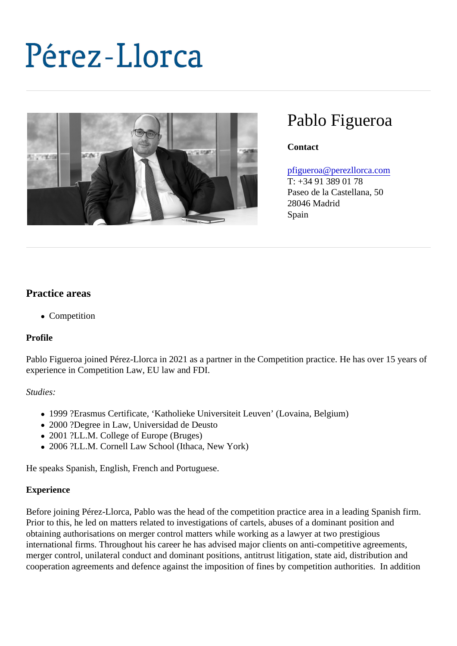# Pablo Figueroa

**Contact** 

## [pfigueroa@perezllorca.co](mailto:pfigueroa@perezllorca.com)m

T: +34 91 389 01 78 Paseo de la Castellana, 50 28046 Madrid Spain

# Practice areas

• Competition

Profile

Pablo Figueroa joined Pérez-Llorca in 2021 as a partner in the Competition practice. He has over 15 years experience in Competition Law, EU law and FDI.

Studies:

- 1999 ?Erasmus Certificate, 'Katholieke Universiteit Leuven' (Lovaina, Belgium)
- 2000 ?Degree in Law, Universidad de Deusto
- 2001 ?LL.M. College of Europe (Bruges)
- 2006 ?LL.M. Cornell Law School (Ithaca, New York)

He speaks Spanish, English, French and Portuguese.

#### Experience

Before joining Pérez-Llorca, Pablo was the head of the competition practice area in a leading Spanish firm. Prior to this, he led on matters related to investigations of cartels, abuses of a dominant position and obtaining authorisations on merger control matters while working as a lawyer at two prestigious international firms. Throughout his career he has advised major clients on anti-competitive agreements, merger control, unilateral conduct and dominant positions, antitrust litigation, state aid, distribution and cooperation agreements and defence against the imposition of fines by competition authorities. In addition